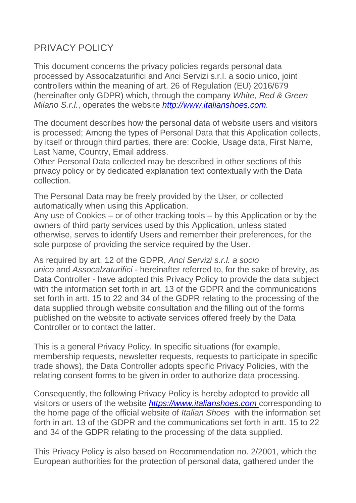# PRIVACY POLICY

This document concerns the privacy policies regards personal data processed by Assocalzaturifici and Anci Servizi s.r.l. a socio unico, joint controllers within the meaning of art. 26 of Regulation (EU) 2016/679 (hereinafter only GDPR) which, through the company *White, Red & Green Milano S.r.l.*, operates the website *[http://www.italianshoes.com.](http://www.italianshoes.com/)*

The document describes how the personal data of website users and visitors is processed; Among the types of Personal Data that this Application collects, by itself or through third parties, there are: Cookie, Usage data, First Name, Last Name, Country, Email address.

Other Personal Data collected may be described in other sections of this privacy policy or by dedicated explanation text contextually with the Data collection.

The Personal Data may be freely provided by the User, or collected automatically when using this Application.

Any use of Cookies – or of other tracking tools – by this Application or by the owners of third party services used by this Application, unless stated otherwise, serves to identify Users and remember their preferences, for the sole purpose of providing the service required by the User.

As required by art. 12 of the GDPR, *Anci Servizi s.r.l. a socio unico* and *Assocalzaturifici* - hereinafter referred to, for the sake of brevity, as Data Controller - have adopted this Privacy Policy to provide the data subject with the information set forth in art. 13 of the GDPR and the communications set forth in artt. 15 to 22 and 34 of the GDPR relating to the processing of the data supplied through website consultation and the filling out of the forms published on the website to activate services offered freely by the Data Controller or to contact the latter.

This is a general Privacy Policy. In specific situations (for example, membership requests, newsletter requests, requests to participate in specific trade shows), the Data Controller adopts specific Privacy Policies, with the relating consent forms to be given in order to authorize data processing.

Consequently, the following Privacy Policy is hereby adopted to provide all visitors or users of the website *[https://www.italianshoes.com](https://www.italianshoes.com/)* corresponding to the home page of the official website of *Italian Shoes* with the information set forth in art. 13 of the GDPR and the communications set forth in artt. 15 to 22 and 34 of the GDPR relating to the processing of the data supplied.

This Privacy Policy is also based on Recommendation no. 2/2001, which the European authorities for the protection of personal data, gathered under the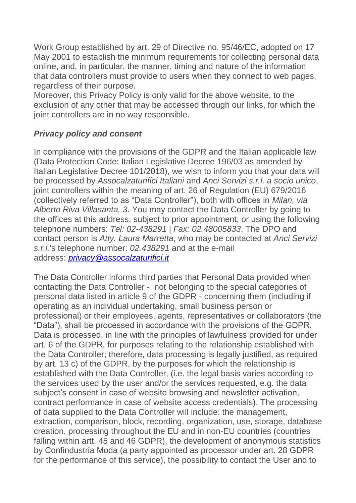Work Group established by art. 29 of Directive no. 95/46/EC, adopted on 17 May 2001 to establish the minimum requirements for collecting personal data online, and, in particular, the manner, timing and nature of the information that data controllers must provide to users when they connect to web pages, regardless of their purpose.

Moreover, this Privacy Policy is only valid for the above website, to the exclusion of any other that may be accessed through our links, for which the joint controllers are in no way responsible.

# *Privacy policy and consent*

In compliance with the provisions of the GDPR and the Italian applicable law (Data Protection Code: Italian Legislative Decree 196/03 as amended by Italian Legislative Decree 101/2018), we wish to inform you that your data will be processed by *Assocalzaturifici Italiani* and *Anci Servizi s.r.l. a socio unico*, joint controllers within the meaning of art. 26 of Regulation (EU) 679/2016 (collectively referred to as "Data Controller"), both with offices in *Milan, via Alberto Riva Villasanta, 3*. You may contact the Data Controller by going to the offices at this address, subject to prior appointment, or using the following telephone numbers: *Tel: 02-438291 | Fax: 02.48005833*. The DPO and contact person is *Atty. Laura Marretta*, who may be contacted at *Anci Servizi s.r.l.*'s telephone number: *02.438291* and at the e-mail address: *[privacy@assocalzaturifici.it](mailto:privacy@assocalzaturifici.it)*

The Data Controller informs third parties that Personal Data provided when contacting the Data Controller - not belonging to the special categories of personal data listed in article 9 of the GDPR - concerning them (including if operating as an individual undertaking, small business person or professional) or their employees, agents, representatives or collaborators (the "Data"), shall be processed in accordance with the provisions of the GDPR. Data is processed, in line with the principles of lawfulness provided for under art. 6 of the GDPR, for purposes relating to the relationship established with the Data Controller; therefore, data processing is legally justified, as required by art. 13 c) of the GDPR, by the purposes for which the relationship is established with the Data Controller, (i.e. the legal basis varies according to the services used by the user and/or the services requested, e.g. the data subject's consent in case of website browsing and newsletter activation, contract performance in case of website access credentials). The processing of data supplied to the Data Controller will include: the management, extraction, comparison, block, recording, organization, use, storage, database creation, processing throughout the EU and in non-EU countries (countries falling within artt. 45 and 46 GDPR), the development of anonymous statistics by Confindustria Moda (a party appointed as processor under art. 28 GDPR for the performance of this service), the possibility to contact the User and to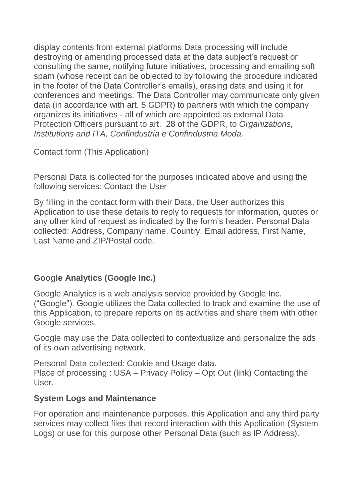display contents from external platforms Data processing will include destroying or amending processed data at the data subject's request or consulting the same, notifying future initiatives, processing and emailing soft spam (whose receipt can be objected to by following the procedure indicated in the footer of the Data Controller's emails), erasing data and using it for conferences and meetings. The Data Controller may communicate only given data (in accordance with art. 5 GDPR) to partners with which the company organizes its initiatives - all of which are appointed as external Data Protection Officers pursuant to art. 28 of the GDPR, to *Organizations, Institutions and ITA, Confindustria e Confindustria Moda.*

Contact form (This Application)

Personal Data is collected for the purposes indicated above and using the following services: Contact the User

By filling in the contact form with their Data, the User authorizes this Application to use these details to reply to requests for information, quotes or any other kind of request as indicated by the form's header. Personal Data collected: Address, Company name, Country, Email address, First Name, Last Name and ZIP/Postal code.

# **Google Analytics (Google Inc.)**

Google Analytics is a web analysis service provided by Google Inc. ("Google"). Google utilizes the Data collected to track and examine the use of this Application, to prepare reports on its activities and share them with other Google services.

Google may use the Data collected to contextualize and personalize the ads of its own advertising network.

Personal Data collected: Cookie and Usage data. Place of processing : USA – Privacy Policy – Opt Out (link) Contacting the User.

# **System Logs and Maintenance**

For operation and maintenance purposes, this Application and any third party services may collect files that record interaction with this Application (System Logs) or use for this purpose other Personal Data (such as IP Address).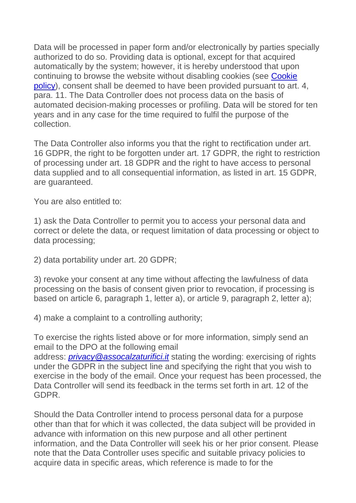Data will be processed in paper form and/or electronically by parties specially authorized to do so. Providing data is optional, except for that acquired automatically by the system; however, it is hereby understood that upon continuing to browse the website without disabling cookies (see [Cookie](http://www.italianshoes.com/en/cookie-policy-en/)  [policy\)](http://www.italianshoes.com/en/cookie-policy-en/), consent shall be deemed to have been provided pursuant to art. 4, para. 11. The Data Controller does not process data on the basis of automated decision-making processes or profiling. Data will be stored for ten years and in any case for the time required to fulfil the purpose of the collection.

The Data Controller also informs you that the right to rectification under art. 16 GDPR, the right to be forgotten under art. 17 GDPR, the right to restriction of processing under art. 18 GDPR and the right to have access to personal data supplied and to all consequential information, as listed in art. 15 GDPR, are guaranteed.

You are also entitled to:

1) ask the Data Controller to permit you to access your personal data and correct or delete the data, or request limitation of data processing or object to data processing;

2) data portability under art. 20 GDPR;

3) revoke your consent at any time without affecting the lawfulness of data processing on the basis of consent given prior to revocation, if processing is based on article 6, paragraph 1, letter a), or article 9, paragraph 2, letter a);

4) make a complaint to a controlling authority;

To exercise the rights listed above or for more information, simply send an email to the DPO at the following email

address: *[privacy@assocalzaturifici.it](mailto:privacy@assocalzaturifici.it)* stating the wording: exercising of rights under the GDPR in the subject line and specifying the right that you wish to exercise in the body of the email. Once your request has been processed, the Data Controller will send its feedback in the terms set forth in art. 12 of the GDPR.

Should the Data Controller intend to process personal data for a purpose other than that for which it was collected, the data subject will be provided in advance with information on this new purpose and all other pertinent information, and the Data Controller will seek his or her prior consent. Please note that the Data Controller uses specific and suitable privacy policies to acquire data in specific areas, which reference is made to for the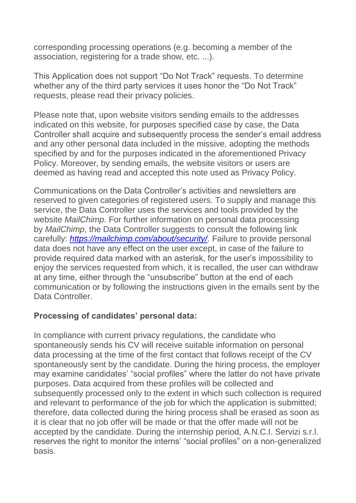corresponding processing operations (e.g. becoming a member of the association, registering for a trade show, etc. ...).

This Application does not support "Do Not Track" requests. To determine whether any of the third party services it uses honor the "Do Not Track" requests, please read their privacy policies.

Please note that, upon website visitors sending emails to the addresses indicated on this website, for purposes specified case by case, the Data Controller shall acquire and subsequently process the sender's email address and any other personal data included in the missive, adopting the methods specified by and for the purposes indicated in the aforementioned Privacy Policy. Moreover, by sending emails, the website visitors or users are deemed as having read and accepted this note used as Privacy Policy.

Communications on the Data Controller's activities and newsletters are reserved to given categories of registered users. To supply and manage this service, the Data Controller uses the services and tools provided by the website *MailChimp*. For further information on personal data processing by *MailChimp*, the Data Controller suggests to consult the following link carefully: *<https://mailchimp.com/about/security/>*. Failure to provide personal data does not have any effect on the user except, in case of the failure to provide required data marked with an asterisk, for the user's impossibility to enjoy the services requested from which, it is recalled, the user can withdraw at any time, either through the "unsubscribe" button at the end of each communication or by following the instructions given in the emails sent by the Data Controller.

#### **Processing of candidates' personal data:**

In compliance with current privacy regulations, the candidate who spontaneously sends his CV will receive suitable information on personal data processing at the time of the first contact that follows receipt of the CV spontaneously sent by the candidate. During the hiring process, the employer may examine candidates' "social profiles" where the latter do not have private purposes. Data acquired from these profiles will be collected and subsequently processed only to the extent in which such collection is required and relevant to performance of the job for which the application is submitted; therefore, data collected during the hiring process shall be erased as soon as it is clear that no job offer will be made or that the offer made will not be accepted by the candidate. During the internship period, A.N.C.I. Servizi s.r.l. reserves the right to monitor the interns' "social profiles" on a non-generalized basis.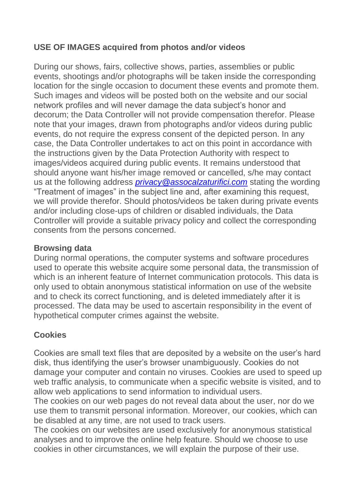# **USE OF IMAGES acquired from photos and/or videos**

During our shows, fairs, collective shows, parties, assemblies or public events, shootings and/or photographs will be taken inside the corresponding location for the single occasion to document these events and promote them. Such images and videos will be posted both on the website and our social network profiles and will never damage the data subject's honor and decorum; the Data Controller will not provide compensation therefor. Please note that your images, drawn from photographs and/or videos during public events, do not require the express consent of the depicted person. In any case, the Data Controller undertakes to act on this point in accordance with the instructions given by the Data Protection Authority with respect to images/videos acquired during public events. It remains understood that should anyone want his/her image removed or cancelled, s/he may contact us at the following address *[privacy@assocalzaturifici.com](mailto:privacy@assocalzaturifici.com)* stating the wording "Treatment of images" in the subject line and, after examining this request, we will provide therefor. Should photos/videos be taken during private events and/or including close-ups of children or disabled individuals, the Data Controller will provide a suitable privacy policy and collect the corresponding consents from the persons concerned.

# **Browsing data**

During normal operations, the computer systems and software procedures used to operate this website acquire some personal data, the transmission of which is an inherent feature of Internet communication protocols. This data is only used to obtain anonymous statistical information on use of the website and to check its correct functioning, and is deleted immediately after it is processed. The data may be used to ascertain responsibility in the event of hypothetical computer crimes against the website.

# **Cookies**

Cookies are small text files that are deposited by a website on the user's hard disk, thus identifying the user's browser unambiguously. Cookies do not damage your computer and contain no viruses. Cookies are used to speed up web traffic analysis, to communicate when a specific website is visited, and to allow web applications to send information to individual users.

The cookies on our web pages do not reveal data about the user, nor do we use them to transmit personal information. Moreover, our cookies, which can be disabled at any time, are not used to track users.

The cookies on our websites are used exclusively for anonymous statistical analyses and to improve the online help feature. Should we choose to use cookies in other circumstances, we will explain the purpose of their use.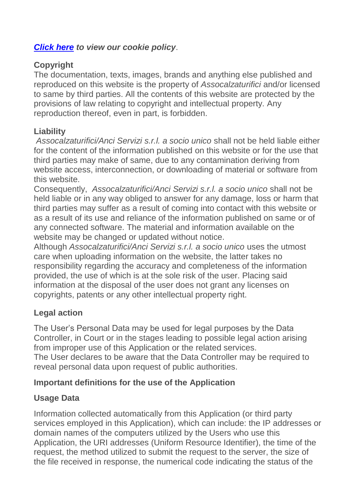# *[Click here](http://www.italianshoes.com/en/cookie-policy-en/) to view our cookie policy*.

# **Copyright**

The documentation, texts, images, brands and anything else published and reproduced on this website is the property of *Assocalzaturifici* and/or licensed to same by third parties. All the contents of this website are protected by the provisions of law relating to copyright and intellectual property. Any reproduction thereof, even in part, is forbidden.

# **Liability**

*Assocalzaturifici/Anci Servizi s.r.l. a socio unico* shall not be held liable either for the content of the information published on this website or for the use that third parties may make of same, due to any contamination deriving from website access, interconnection, or downloading of material or software from this website.

Consequently, *Assocalzaturifici/Anci Servizi s.r.l. a socio unico* shall not be held liable or in any way obliged to answer for any damage, loss or harm that third parties may suffer as a result of coming into contact with this website or as a result of its use and reliance of the information published on same or of any connected software. The material and information available on the website may be changed or updated without notice.

Although *Assocalzaturifici/Anci Servizi s.r.l. a socio unico* uses the utmost care when uploading information on the website, the latter takes no responsibility regarding the accuracy and completeness of the information provided, the use of which is at the sole risk of the user. Placing said information at the disposal of the user does not grant any licenses on copyrights, patents or any other intellectual property right.

# **Legal action**

The User's Personal Data may be used for legal purposes by the Data Controller, in Court or in the stages leading to possible legal action arising from improper use of this Application or the related services.

The User declares to be aware that the Data Controller may be required to reveal personal data upon request of public authorities.

# **Important definitions for the use of the Application**

# **Usage Data**

Information collected automatically from this Application (or third party services employed in this Application), which can include: the IP addresses or domain names of the computers utilized by the Users who use this Application, the URI addresses (Uniform Resource Identifier), the time of the request, the method utilized to submit the request to the server, the size of the file received in response, the numerical code indicating the status of the